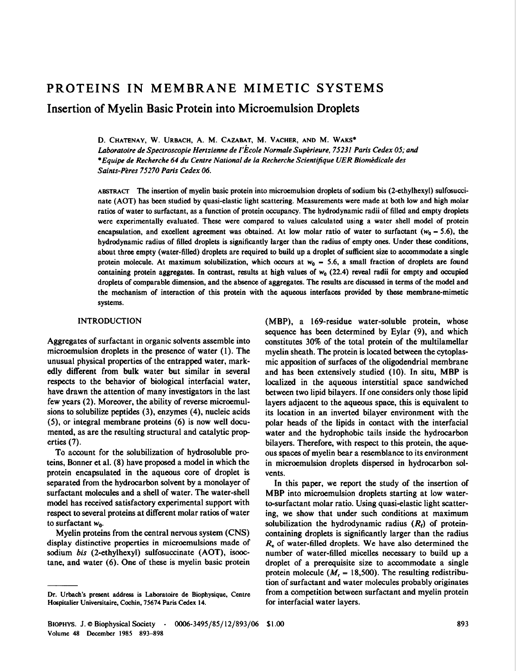# PROTEINS IN MEMBRANE MIMETIC SYSTEMS

Insertion of Myelin Basic Protein into Microemulsion Droplets

D. CHATENAY, W. URBACH, A. M. CAZABAT, M. VACHER, AND M. WAKS\* Laboratoire de Spectroscopie Hertzienne de I'Ecole Normale Superieure, 75231 Paris Cedex 05; and \*Equipe de Recherche 64 du Centre National de la Recherche Scientifique UER Biomedicale des Saints-Peres 75270 Paris Cedex 06.

ABSTRACT The insertion of myelin basic protein into microemulsion droplets of sodium bis (2-ethylhexyl) sulfosuccinate (AOT) has been studied by quasi-elastic light scattering. Measurements were made at both low and high molar ratios of water to surfactant, as a function of protein occupancy. The hydrodynamic radii of filled and empty droplets were experimentally evaluated. These were compared to values calculated using a water shell model of protein encapsulation, and excellent agreement was obtained. At low molar ratio of water to surfactant ( $w_0$  – 5.6), the hydrodynamic radius of filled droplets is significantly larger than the radius of empty ones. Under these conditions, about three empty (water-filled) droplets are required to build up a droplet of sufficient size to accommodate a single protein molecule. At maximum solubilization, which occurs at  $w_0$  – 5.6, a small fraction of droplets are found containing protein aggregates. In contrast, results at high values of  $w_0$  (22.4) reveal radii for empty and occupied droplets of comparable dimension, and the absence of aggregates. The results are discussed in terms of the model and the mechanism of interaction of this protein with the aqueous interfaces provided by these membrane-mimetic systems.

# INTRODUCTION

Aggregates of surfactant in organic solvents assemble into microemulsion droplets in the presence of water (1). The unusual physical properties of the entrapped water, markedly different from bulk water but similar in several respects to the behavior of biological interfacial water, have drawn the attention of many investigators in the last few years (2). Moreover, the ability of reverse microemulsions to solubilize peptides (3), enzymes (4), nucleic acids (5), or integral membrane proteins (6) is now well documented, as are the resulting structural and catalytic properties (7).

To account for the solubilization of hydrosoluble proteins, Bonner et al. (8) have proposed a model in which the protein encapsulated in the aqueous core of droplet is separated from the hydrocarbon solvent by a monolayer of surfactant molecules and a shell of water. The water-shell model has received satisfactory experimental support with respect to several proteins at different molar ratios of water to surfactant  $w_0$ .

Myelin proteins from the central nervous system (CNS) display distinctive properties in microemulsions made of sodium bis (2-ethylhexyl) sulfosuccinate (AOT), isooctane, and water (6). One of these is myelin basic protein

(MBP), a 169-residue water-soluble protein, whose sequence has been determined by Eylar (9), and which constitutes 30% of the total protein of the multilamellar myelin sheath. The protein is located between the cytoplasmic apposition of surfaces of the oligodendrial membrane and has been extensively studied (10). In situ, MBP is localized in the aqueous interstitial space sandwiched between two lipid bilayers. If one considers only those lipid layers adjacent to the aqueous space, this is equivalent to its location in an inverted bilayer environment with the polar heads of the lipids in contact with the interfacial water and the hydrophobic tails inside the hydrocarbon bilayers. Therefore, with respect to this protein, the aqueous spaces of myelin bear a resemblance to its environment in microemulsion droplets dispersed in hydrocarbon solvents.

In this paper, we report the study of the insertion of MBP into microemulsion droplets starting at low waterto-surfactant molar ratio. Using quasi-elastic light scattering, we show that under such conditions at maximum solubilization the hydrodynamic radius  $(R<sub>i</sub>)$  of proteincontaining droplets is significantly larger than the radius  $R<sub>e</sub>$  of water-filled droplets. We have also determined the number of water-filled micelles necessary to build up a droplet of a prerequisite size to accommodate a single protein molecule ( $M<sub>r</sub> = 18,500$ ). The resulting redistribution of surfactant and water molecules probably originates from a competition between surfactant and myelin protein for interfacial water layers.

Dr. Urbach's present address is Laboratoire de Biophysique, Centre Hospitalier Universitaire, Cochin, 75674 Paris Cedex 14.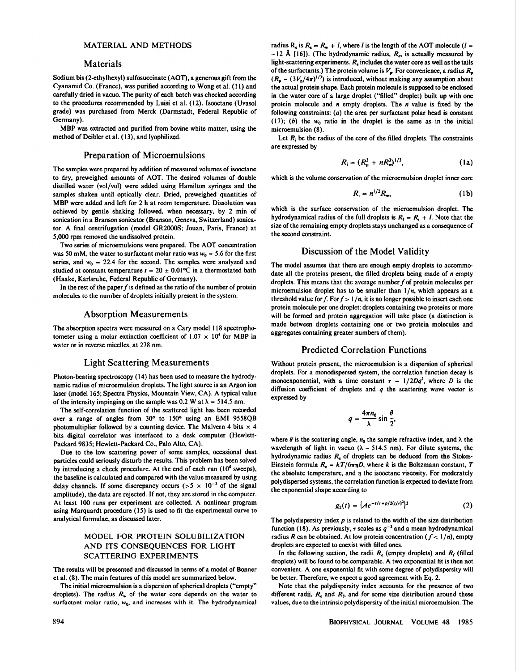## MATERIAL AND METHODS

#### Materials

Sodium bis (2-ethylhexyl) sulfosuccinate (AOT), a generous gift from the Cyanamid Co. (France), was purified according to Wong et al. (11) and carefully dried in vacuo. The purity of each batch was checked according to the procedures recommended by Luisi et al. (12). Isooctane (Uvasol grade) was purchased from Merck (Darmstadt, Federal Republic of Germany).

MBP was extracted and purified from bovine white matter, using the method of Deibler et al. (13), and lyophilized.

#### Preparation of Microemulsions

The samples were prepared by addition of measured volumes of isooctane to dry, preweighed amounts of AOT. The desired volumes of double distilled water (vol/vol) were added using Hamilton syringes and the samples shaken until optically clear. Dried, preweighed quantities of MBP were added and left for <sup>2</sup> <sup>h</sup> at room temperature. Dissolution was achieved by gentle shaking followed, when necessary, by 2 min of sonication in a Branson sonicator (Branson, Geneva, Switzerland) sonicator. A final centrifugation (model GR2000S; Jouan, Paris, France) at 5,000 rpm removed the undissolved protein.

Two series of microemulsions were prepared. The AOT concentration was 50 mM, the water to surfactant molar ratio was  $w_0 = 5.6$  for the first series, and  $w_0$  = 22.4 for the second. The samples were analyzed and studied at constant temperature  $t = 20 \pm 0.01$ °C in a thermostated bath (Haake, Karlsruhe, Federal Republic of Germany).

In the rest of the paper  $f$  is defined as the ratio of the number of protein molecules to the number of droplets initially present in the system.

#### Absorption Measurements

The absorption spectra were measured on a Cary model 118 spectrophotometer using a molar extinction coefficient of  $1.07 \times 10^4$  for MBP in water or in reverse micelles, at 278 nm.

#### Light Scattering Measurements

Photon-beating spectroscopy (14) has been used to measure the hydrodynamic radius of microemulsion droplets. The light source is an Argon ion laser (model 165; Spectra Physics, Mountain View, CA). A typical value of the intensity impinging on the sample was 0.2 W at  $\lambda$  = 514.5 nm.

The self-correlation function of the scattered light has been recorded over a range of angles from 30° to 150° using an EMI 9558QB photomultiplier followed by a counting device. The Malvern 4 bits  $\times$  4 bits digital correlator was interfaced to a desk computer (Hewlett-Packard 9835; Hewlett-Packard Co., Palo Alto, CA).

Due to the low scattering power of some samples, occasional dust particles could seriously disturb the results. This problem has been solved by introducing a check procedure. At the end of each run (10<sup>6</sup> sweeps), the baseline is calculated and compared with the value measured by using delay channels. If some discrepancy occurs ( $> 5 \times 10^{-3}$  of the signal amplitude), the data are rejected. If not, they are stored in the computer. At least <sup>100</sup> runs per experiment are collected. A nonlinear program using Marquardt procedure (15) is used to fit the experimental curve to analytical formulae, as discussed later.

# MODEL FOR PROTEIN SOLUBILIZATION AND ITS CONSEQUENCES FOR LIGHT SCATTERING EXPERIMENTS

The results will be presented and discussed in terms of a model of Bonner et al. (8). The main features of this model are summarized below.

The initial microemulsion is a dispersion of spherical droplets ("empty" droplets). The radius  $R_w$  of the water core depends on the water to surfactant molar ratio,  $w_0$ , and increases with it. The hydrodynamical

radius R<sub>e</sub> is  $R_e = R_v + l$ , where *l* is the length of the AOT molecule (*l* –  $\sim$ 12 Å [16]). (The hydrodynamic radius,  $R<sub>m</sub>$  is actually measured by light-scattering experiments.  $R_e$  includes the water core as well as the tails of the surfactants.) The protein volume is  $V_p$ . For convenience, a radius  $R_p$  $(R_p - (3V_p/4\pi)^{1/3})$  is introduced, without making any assumption about the actual protein shape. Each protein molecule is supposed to be enclosed in the water core of a large droplet ("filled" droplet) built up with one protein molecule and  $n$  empty droplets. The  $n$  value is fixed by the following constraints: (a) the area per surfactant polar head is constant (17); (b) the  $w_0$  ratio in the droplet is the same as in the initial microemulsion (8).

Let  $R_i$  be the radius of the core of the filled droplets. The constraints are expressed by

$$
R_{\rm i} = (R_{\rm p}^3 + n R_{\rm w}^3)^{1/3},\qquad \qquad (1a)
$$

which is the volume conservation of the microemulsion droplet inner core

$$
R_{\rm i} = n^{1/2} R_{\rm w}, \tag{1b}
$$

which is the surface conservation of the microemulsion droplet. The hydrodynamical radius of the full droplets is  $R_f = R_i + l$ . Note that the size of the remaining empty droplets stays unchanged as a consequence of the second constraint.

### Discussion of the Model Validity

The model assumes that there are enough empty droplets to accommodate all the proteins present, the filled droplets being made of  $n$  empty droplets. This means that the average number  $f$  of protein molecules per microemulsion droplet has to be smaller than  $1/n$ , which appears as a threshold value for f. For  $f > 1/n$ , it is no longer possible to insert each one protein molecule per one droplet: droplets containing two proteins or more will be formed and protein aggregation will take place (a distinction is made between droplets containing one or two protein molecules and aggregates containing greater numbers of them).

#### Predicted Correlation Functions

Without protein present, the microemulsion is a dispersion of spherical droplets. For a monodispersed system, the correlation function decay is monoexponential, with a time constant  $\tau = 1/2Dq^2$ , where D is the diffusion coefficient of droplets and  $q$  the scattering wave vector is expressed by

$$
q=\frac{4\pi n_0}{\lambda}\sin\frac{\theta}{2},
$$

where  $\theta$  is the scattering angle,  $n_0$  the sample refractive index, and  $\lambda$  the wavelength of light in vacuo ( $\lambda = 514.5$  nm). For dilute systems, the hydrodynamic radius  $R_e$  of droplets can be deduced from the Stokes-Einstein formula  $R_e = kT/6\pi\eta D$ , where k is the Boltzmann constant, T the absolute temperature, and  $\eta$  the isooctane viscosity. For moderately polydispersed systems, the correlation function is expected to deviate from the exponential shape according to

$$
g_2(t) = \{Ae^{-t/\tau + p/2(t/\tau)^2}\}^2
$$
 (2)

The polydispersity index  $p$  is related to the width of the size distribution function (18). As previously, r scales as  $q^{-2}$  and a mean hydrodynamical radius R can be obtained. At low protein concentration ( $f < 1/n$ ), empty droplets are expected to coexist with filled ones.

In the following section, the radii  $R_{\epsilon}$  (empty droplets) and  $R_{\epsilon}$  (filled droplets) will be found to be comparable. A two exponential fit is then not convenient. A one exponential fit with some degree of polydispersity will be better. Therefore, we expect a good agreement with Eq. 2.

Note that the polydispersity index accounts for the presence of two different radii,  $R_{\epsilon}$  and  $R_{\text{f}}$ , and for some size distribution around these values, due to the intrinsic polydispersity of the initial microemulsion. The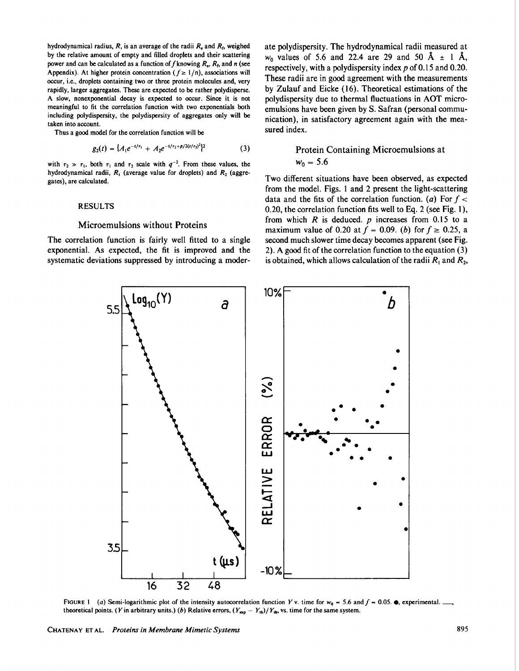hydrodynamical radius,  $R$ , is an average of the radii  $R_e$  and  $R_f$ , weighed by the relative amount of empty and filled droplets and their scattering power and can be calculated as a function of f knowing  $R_e$ ,  $R_f$ , and n (see Appendix). At higher protein concentration ( $f \ge 1/n$ ), associations will occur, i.e., droplets containing two or three protein molecules and, very rapidly, larger aggregates. These are expected to be rather polydisperse. A slow, nonexponential decay is expected to occur. Since it is not meaningful to fit the correlation function with two exponentials both including polydispersity, the polydispersity of aggregates only will be taken into account.

Thus a good model for the correlation function will be

$$
g_2(t) = \{A_1 e^{-t/\tau_1} + A_2 e^{-t/\tau_2 + p/2(t/\tau_2)^2}\}^2
$$
 (3)

with  $\tau_2 \gg \tau_1$ , both  $\tau_1$  and  $\tau_2$  scale with  $q^{-2}$ . From these values, the hydrodynamical radii,  $R_1$  (average value for droplets) and  $R_2$  (aggregates), are calculated.

#### RESULTS

## Microemulsions without Proteins

The correlation function is fairly well fitted to a single exponential. As expected, the fit is improved and the systematic deviations suppressed by introducing a moderate polydispersity. The hydrodynamical radii measured at  $w_0$  values of 5.6 and 22.4 are 29 and 50 Å  $\pm$  1 Å, respectively, with a polydispersity index p of 0.15 and 0.20. These radii are in good agreement with the measurements by Zulauf and Eicke (16). Theoretical estimations of the polydispersity due to thermal fluctuations in AOT microemulsions have been given by S. Safran (personal communication), in satisfactory agreement again with the measured index.

# Protein Containing Microemulsions at  $w_0 = 5.6$

Two different situations have been observed, as expected from the model. Figs. <sup>1</sup> and 2 present the light-scattering data and the fits of the correlation function. (a) For  $f <$ 0.20, the correlation function fits well to Eq. 2 (see Fig. 1), from which  $R$  is deduced.  $p$  increases from 0.15 to a maximum value of 0.20 at  $f = 0.09$ . (b) for  $f \ge 0.25$ , a second much slower time decay becomes apparent (see Fig. 2). A good fit of the correlation function to the equation (3) is obtained, which allows calculation of the radii  $R_1$  and  $R_2$ ,



FIGURE 1 (a) Semi-logarithmic plot of the intensity autocorrelation function Y v. time for  $w_0$  = 5.6 and  $f$  = 0.05.  $\bullet$ , experimental. theoretical points. (Y in arbitrary units.) (b) Relative errors,  $(Y_{exp} - Y_{th})/Y_{th}$ , vs. time for the same system.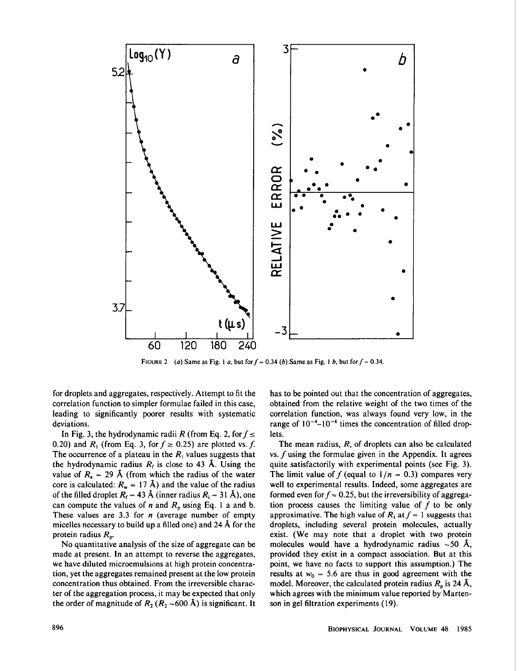

FIGURE 2 (a) Same as Fig. 1 a, but for  $f = 0.34$  (b) Same as Fig. 1 b, but for  $f = 0.34$ .

for droplets and aggregates, respectively. Attempt to fit the correlation function to simpler formulae failed in this case, leading to significantly poorer results with systematic deviations.

In Fig. 3, the hydrodynamic radii R (from Eq. 2, for  $f \leq$ 0.20) and  $R_1$  (from Eq. 3, for  $f \ge 0.25$ ) are plotted vs. f. The occurrence of a plateau in the  $R_1$  values suggests that the hydrodynamic radius  $R_f$  is close to 43 Å. Using the value of  $R_e = 29$  Å (from which the radius of the water core is calculated:  $R_w = 17 \text{ Å}$ ) and the value of the radius of the filled droplet  $R_f = 43 \text{ Å}$  (inner radius  $R_i = 31 \text{ Å}$ ), one can compute the values of n and  $R_p$  using Eq. 1 a and b. These values are 3.3 for  $n$  (average number of empty micelles necessary to build up <sup>a</sup> filled one) and <sup>24</sup> A for the protein radius  $R_p$ .

No quantitative analysis of the size of aggregate can be made at present. In an attempt to reverse the aggregates, we have diluted microemulsions at high protein concentration, yet the aggregates remained present at the low protein concentration thus obtained. From the irreversible character of the aggregation process, it may be expected that only the order of magnitude of  $R_2 (R_2 \sim 600 \text{ Å})$  is significant. It has to be pointed out that the concentration of aggregates, obtained from the relative weight of the two times of the correlation function, was always found very low, in the range of  $10^{-4}$ - $10^{-6}$  times the concentration of filled droplets.

The mean radius, R, of droplets can also be calculated vs. f using the formulae given in the Appendix. It agrees quite satisfactorily with experimental points (see Fig. 3). The limit value of f (equal to  $1/n = 0.3$ ) compares very well to experimental results. Indeed, some aggregates are formed even for  $f \approx 0.25$ , but the irreversibility of aggregation process causes the limiting value of f to be only approximative. The high value of  $R_1$  at  $f = 1$  suggests that droplets, including several protein molecules, actually exist. (We may note that a droplet with two protein molecules would have a hydrodynamic radius  $\sim$  50 Å, provided they exist in a compact association. But at this point, we have no facts to support this assumption.) The results at  $w_0 = 5.6$  are thus in good agreement with the model. Moreover, the calculated protein radius  $R_p$  is 24 Å, which agrees with the minimum value reported by Martenson in gel filtration experiments (19).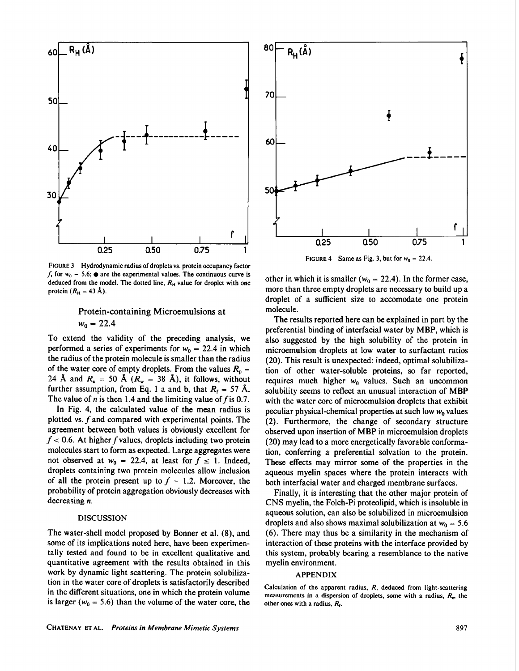

FIGURE 3 Hydrodynamic radius of droplets vs. protein occupancy factor f, for  $w_0 = 5.6$ ;  $\bullet$  are the experimental values. The continuous curve is deduced from the model. The dotted line,  $R_H$  value for droplet with one protein  $(R_H = 43 \text{ Å})$ .

# Protein-containing Microemulsions at  $w_0 = 22.4$

To extend the validity of the preceding analysis, we performed a series of experiments for  $w_0 = 22.4$  in which the radius of the protein molecule is smaller than the radius of the water core of empty droplets. From the values  $R_p =$ 24 Å and  $R_e = 50$  Å  $(R_w = 38$  Å), it follows, without further assumption, from Eq. 1 a and b, that  $R_f = 57$  Å. The value of n is then 1.4 and the limiting value of f is 0.7.

In Fig. 4, the calculated value of the mean radius is plotted vs.  $f$  and compared with experimental points. The agreement between both values is obviously excellent for  $f < 0.6$ . At higher f values, droplets including two protein molecules start to form as expected. Large aggregates were not observed at  $w_0 = 22.4$ , at least for  $f \le 1$ . Indeed, droplets containing two protein molecules allow inclusion of all the protein present up to  $f = 1.2$ . Moreover, the probability of protein aggregation obviously decreases with decreasing *n*.

#### DISCUSSION

The water-shell model proposed by Bonner et al. (8), and some of its implications noted here, have been experimentally tested and found to be in excellent qualitative and quantitative agreement with the results obtained in this work by dynamic light scattering. The protein solubilization in the water core of droplets is satisfactorily described in the different situations, one in which the protein volume is larger ( $w_0 = 5.6$ ) than the volume of the water core, the



FIGURE 4 Same as Fig. 3, but for  $w_0 = 22.4$ .

other in which it is smaller ( $w_0 = 22.4$ ). In the former case, more than three empty droplets are necessary to build up a droplet of a sufficient size to accomodate one protein molecule.

The results reported here can be explained in part by the preferential binding of interfacial water by MBP, which is also suggested by the high solubility of the protein in microemulsion droplets at low water to surfactant ratios (20). This result is unexpected: indeed, optimal solubilization of other water-soluble proteins, so far reported, requires much higher  $w_0$  values. Such an uncommon solubility seems to reflect an unusual interaction of MBP with the water core of microemulsion droplets that exhibit peculiar physical-chemical properties at such low  $w_0$  values (2). Furthermore, the change of secondary structure observed upon insertion of MBP in microemulsion droplets (20) may lead to a more energetically favorable conformation, conferring a preferential solvation to the protein. These effects may mirror some of the properties in the aqueous myelin spaces where the protein interacts with both interfacial water and charged membrane surfaces.

Finally, it is interesting that the other major protein of CNS myelin, the Folch-Pi proteolipid, which is insoluble in aqueous solution, can also be solubilized in microemulsion droplets and also shows maximal solubilization at  $w_0 = 5.6$ (6). There may thus be a similarity in the mechanism of interaction of these proteins with the interface provided by this system, probably bearing a resemblance to the native myelin environment.

## APPENDIX

Calculation of the apparent radius,  $R$ , deduced from light-scattering measurements in a dispersion of droplets, some with a radius,  $R<sub>et</sub>$ , the other ones with a radius,  $R_f$ .